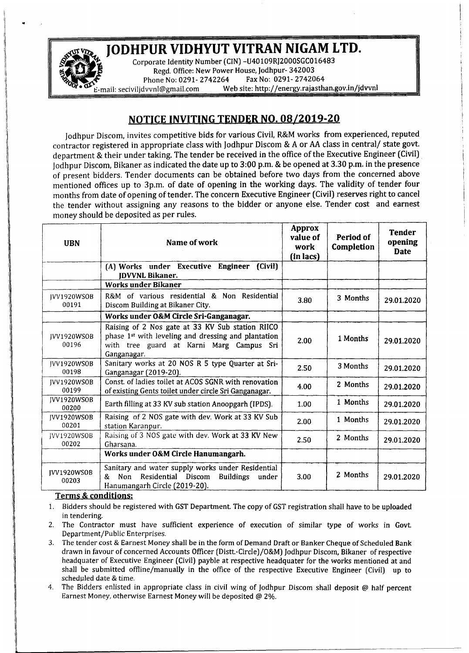## ~~\_ JODHPUR VIDHYUT VITRAN NIGAM LTD.

Corporate Identity Number (CIN)-U40109RJ2000SGC016483 Regd. Office: New Power House, Jodhpur- 342003<br>one No: 0291- 2742264 Fax No: 0291- 2742064 Phone No: 0291- 2742264 **E**-mail: [seciviljdvvnl@gmail.com](mailto:seciviljdvvnl@gmail.com) Web site: <http://energy.rajasthan.gov.in/jdvvnl>

## NOTICE INVITING TENDER NO. 08/2019-20

Jodhpur Discom, invites competitive bids for various Civil, R&M works from experienced, reputed contractor registered in appropriate class with Jodhpur Discom & A or AA class in central/ state govt. department & their under taking. The tender be received in the office of the Executive Engineer (Civil) jodhpur Discern, Bikaner as indicated the date up to 3:00 p.m. & be opened at 3.30 p.m. in the presence of present bidders. Tender documents can be obtained before two days from the concerned above mentioned offices up to 3p.m. of date of opening in the working days. The validity of tender four months from date of opening of tender. The concern Executive Engineer (Civil) reserves right to cancel the tender without assigning any reasons to the bidder or anyone else. Tender cost and earnest money should be deposited as per rules.

| <b>UBN</b>                  | Name of work                                                                                                                                                                   | Approx<br>value of<br>work<br>(in lacs) | Period of<br>Completion | <b>Tender</b><br>opening<br><b>Date</b> |
|-----------------------------|--------------------------------------------------------------------------------------------------------------------------------------------------------------------------------|-----------------------------------------|-------------------------|-----------------------------------------|
|                             | (Civil)<br>(A) Works under Executive Engineer<br><b>IDVVNL Bikaner.</b>                                                                                                        |                                         |                         |                                         |
|                             | Works under Bikaner                                                                                                                                                            |                                         |                         |                                         |
| IVV1920WSOB<br>00191        | R&M of various residential & Non Residential<br>Discom Building at Bikaner City.                                                                                               | 3.80                                    | 3 Months                | 29.01.2020                              |
|                             | Works under O&M Circle Sri-Ganganagar.                                                                                                                                         |                                         |                         |                                         |
| IVV1920WSOB<br>00196        | Raising of 2 Nos gate at 33 KV Sub station RIICO<br>phase 1 <sup>st</sup> with leveling and dressing and plantation<br>with tree guard at Karni Marg Campus Sri<br>Ganganagar. | 2.00                                    | 1 Months                | 29.01.2020                              |
| IVV1920WSOB<br>00198        | Sanitary works at 20 NOS R 5 type Quarter at Sri-<br>Ganganagar (2019-20).                                                                                                     | 2.50                                    | 3 Months                | 29.01.2020                              |
| IVV1920WSOB<br>00199        | Const. of ladies toilet at ACOS SGNR with renovation<br>of existing Gents toilet under circle Sri Ganganagar.                                                                  | 4.00                                    | 2 Months                | 29.01.2020                              |
| <b>IVV1920WSOB</b><br>00200 | Earth filling at 33 KV sub station Anoopgarh (IPDS).                                                                                                                           | 1.00                                    | 1 Months                | 29.01.2020                              |
| IVV1920WSOB<br>00201        | Raising of 2 NOS gate with dev. Work at 33 KV Sub<br>station Karanpur.                                                                                                         | 2.00                                    | 1 Months                | 29.01.2020                              |
| JVV1920WSOB<br>00202        | Raising of 3 NOS gate with dev. Work at 33 KV New<br>Gharsana.                                                                                                                 | 2.50                                    | 2 Months                | 29.01.2020                              |
|                             | Works under O&M Circle Hanumangarh.                                                                                                                                            |                                         |                         |                                         |
| JVV1920WSOB<br>00203        | Sanitary and water supply works under Residential<br><b>Non</b><br>Residential Discom<br><b>Buildings</b><br>&<br>under<br>Hanumangarh Circle (2019-20).                       | 3.00                                    | 2 Months                | 29.01.2020                              |

## Terms & conditions:

.•

- 1. Bidders should be registered with GST Department. The copy of GST registration shall have to be uploaded in tendering.
- 2. The Contractor must have sufficient experience of execution of similar type of works in Govt. Department/Public Enterprises.
- 3. The tender cost & Earnest Money shall be in the form of Demand Draft or Banker Cheque of Scheduled Bank drawn in favour of concerned Accounts Officer (Distt.-Circle)/O&M) Jodhpur Discom, Bikaner of respective headquater of Executive Engineer (Civil) payble at respective headquater for the works mentioned at and shall be submitted offline/manually in the office of the respective Executive Engineer (Civil) up to scheduled date & time.
- 4. The Bidders enlisted in appropriate class in civil wing of Jodhpur Discom shall deposit @ half percent Earnest Money, otherwise Earnest Money will be deposited @ 2%.